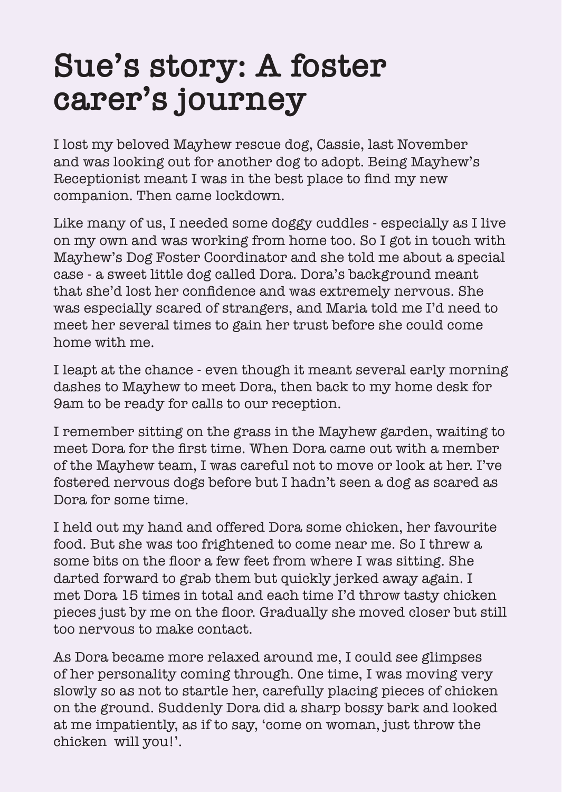## **Sue's story: A foster carer's journey**

I lost my beloved Mayhew rescue dog, Cassie, last November and was looking out for another dog to adopt. Being Mayhew's Receptionist meant I was in the best place to find my new companion. Then came lockdown.

Like many of us, I needed some doggy cuddles - especially as I live on my own and was working from home too. So I got in touch with Mayhew's Dog Foster Coordinator and she told me about a special case - a sweet little dog called Dora. Dora's background meant that she'd lost her confidence and was extremely nervous. She was especially scared of strangers, and Maria told me I'd need to meet her several times to gain her trust before she could come home with me.

I leapt at the chance - even though it meant several early morning dashes to Mayhew to meet Dora, then back to my home desk for 9am to be ready for calls to our reception.

I remember sitting on the grass in the Mayhew garden, waiting to meet Dora for the first time. When Dora came out with a member of the Mayhew team, I was careful not to move or look at her. I've fostered nervous dogs before but I hadn't seen a dog as scared as Dora for some time.

I held out my hand and offered Dora some chicken, her favourite food. But she was too frightened to come near me. So I threw a some bits on the floor a few feet from where I was sitting. She darted forward to grab them but quickly jerked away again. I met Dora 15 times in total and each time I'd throw tasty chicken pieces just by me on the floor. Gradually she moved closer but still too nervous to make contact.

As Dora became more relaxed around me, I could see glimpses of her personality coming through. One time, I was moving very slowly so as not to startle her, carefully placing pieces of chicken on the ground. Suddenly Dora did a sharp bossy bark and looked at me impatiently, as if to say, 'come on woman, just throw the chicken will you!'.